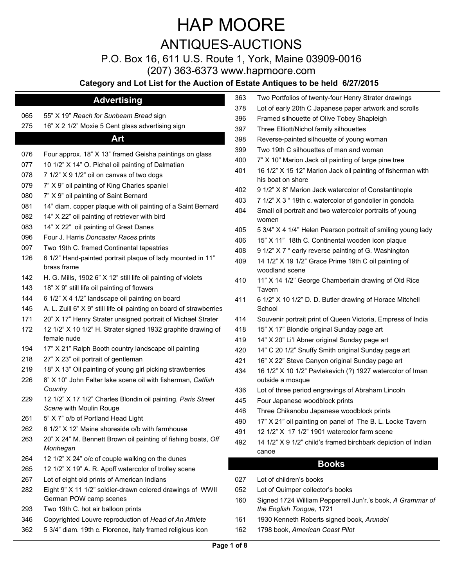## ANTIQUES-AUCTIONS

P.O. Box 16, 611 U.S. Route 1, York, Maine 03909-0016

(207) 363-6373 www.hapmoore.com

### **Category and Lot List for the Auction of**

### **Advertising**

- 55" X 19" *Reach for Sunbeam Bread* sign
- 16" X 2 1/2" Moxie 5 Cent glass advertising sign

### **Art**

| 076 | Four approx. 18" X 13" framed Geisha paintings on glass                                 |
|-----|-----------------------------------------------------------------------------------------|
| 077 | 10 1/2" X 14" O. Pichal oil painting of Dalmatian                                       |
| 078 | 7 1/2" X 9 1/2" oil on canvas of two dogs                                               |
| 079 | 7" X 9" oil painting of King Charles spaniel                                            |
| 080 | 7" X 9" oil painting of Saint Bernard                                                   |
| 081 | 14" diam. copper plaque with oil painting of a Saint Bernard                            |
| 082 | 14" X 22" oil painting of retriever with bird                                           |
| 083 | 14" X 22" oil painting of Great Danes                                                   |
| 096 | Four J. Harris Doncaster Races prints                                                   |
| 097 | Two 19th C. framed Continental tapestries                                               |
| 126 | 6 1/2" Hand-painted portrait plaque of lady mounted in 11"<br>brass frame               |
| 142 | H. G. Mills, 1902 6" X 12" still life oil painting of violets                           |
| 143 | 18" X 9" still life oil painting of flowers                                             |
| 144 | 6 1/2" X 4 1/2" landscape oil painting on board                                         |
| 145 | A. L. Zuill 6" X 9" still life oil painting on board of strawberries                    |
| 171 | 20" X 17" Henry Strater unsigned portrait of Michael Strater                            |
| 172 | 12 1/2" X 10 1/2" H. Strater signed 1932 graphite drawing of<br>female nude             |
| 194 | 17" X 21" Ralph Booth country landscape oil painting                                    |
| 218 | 27" X 23" oil portrait of gentleman                                                     |
| 219 | 18" X 13" Oil painting of young girl picking strawberries                               |
| 226 | 8" X 10" John Falter lake scene oil with fisherman, Catfish<br>Country                  |
| 229 | 12 1/2" X 17 1/2" Charles Blondin oil painting, Paris Street<br>Scene with Moulin Rouge |
| 261 | 5" X 7" o/b of Portland Head Light                                                      |
| 262 | 6 1/2" X 12" Maine shoreside o/b with farmhouse                                         |
| 263 | 20" X 24" M. Bennett Brown oil painting of fishing boats, Off<br>Monhegan               |
| 264 | 12 1/2" X 24" o/c of couple walking on the dunes                                        |
| 265 | 12 1/2" X 19" A. R. Apoff watercolor of trolley scene                                   |
| 267 | Lot of eight old prints of American Indians                                             |
| 282 | Eight 9" X 11 1/2" soldier-drawn colored drawings of WWII<br>German POW camp scenes     |
| 293 | Two 19th C. hot air balloon prints                                                      |
| 346 | Copyrighted Louvre reproduction of Head of An Athlete                                   |
| 362 | 5 3/4" diam. 19th c. Florence, Italy framed religious icon                              |

|     | f Estate Antiques to be held 6/27/2015                                           |
|-----|----------------------------------------------------------------------------------|
| 363 | Two Portfolios of twenty-four Henry Strater drawings                             |
| 378 | Lot of early 20th C Japanese paper artwork and scrolls                           |
| 396 | Framed silhouette of Olive Tobey Shapleigh                                       |
| 397 | Three Elliott/Nichol family silhouettes                                          |
| 398 | Reverse-painted silhouette of young woman                                        |
| 399 | Two 19th C silhouettes of man and woman                                          |
| 400 | 7" X 10" Marion Jack oil painting of large pine tree                             |
| 401 | 16 1/2" X 15 12" Marion Jack oil painting of fisherman with<br>his boat on shore |
| 402 | 9 1/2" X 8" Marion Jack watercolor of Constantinople                             |
| 403 | 7 1/2" X 3 " 19th c. watercolor of gondolier in gondola                          |
| 404 | Small oil portrait and two watercolor portraits of young<br>women                |
| 405 | 5 3/4" X 4 1/4" Helen Pearson portrait of smiling young lady                     |
| 406 | 15" X 11" 18th C. Continental wooden icon plaque                                 |
| 408 | 9 1/2" X 7 " early reverse painting of G. Washington                             |
| 409 | 14 1/2" X 19 1/2" Grace Prime 19th C oil painting of<br>woodland scene           |
| 410 | 11" X 14 1/2" George Chamberlain drawing of Old Rice<br>Tavern                   |
| 411 | 6 1/2" X 10 1/2" D. D. Butler drawing of Horace Mitchell<br>School               |
| 414 | Souvenir portrait print of Queen Victoria, Empress of India                      |
| 418 | 15" X 17" Blondie original Sunday page art                                       |
| 419 | 14" X 20" Li'l Abner original Sunday page art                                    |
| 420 | 14" C 20 1/2" Snuffy Smith original Sunday page art                              |
| 421 | 16" X 22" Steve Canyon original Sunday page art                                  |
| 434 | 16 1/2" X 10 1/2" Pavlekevich (?) 1927 watercolor of Iman<br>outside a mosque    |
| 436 | Lot of three period engravings of Abraham Lincoln                                |
| 445 | Four Japanese woodblock prints                                                   |
| 446 | Three Chikanobu Japanese woodblock prints                                        |
| 490 | 17" X 21" oil painting on panel of The B. L. Locke Tavern                        |
| 491 | 12 1/2" X 17 1/2" 1901 watercolor farm scene                                     |
| 492 | 14 1/2" X 9 1/2" child's framed birchbark depiction of Indian<br>canoe           |
|     | <b>Books</b>                                                                     |
| 027 | Lot of children's books                                                          |
| 052 | Lot of Quimper collector's books                                                 |
|     |                                                                                  |

- Signed 1724 William Pepperrell Jun'r.'s book, *A Grammar of the English Tongue,* 1721
- 1930 Kenneth Roberts signed book, *Arundel*
- 1798 book, *American Coast Pilot*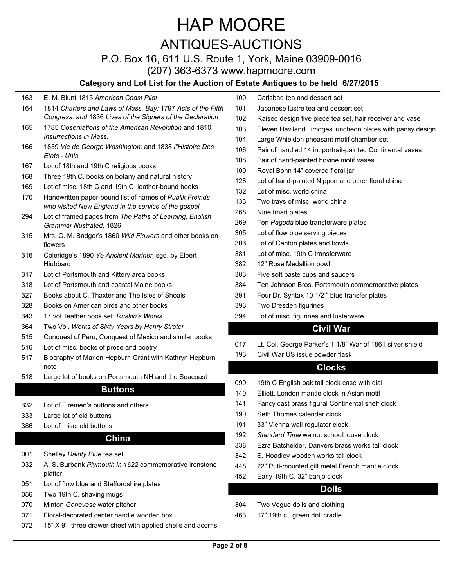## ANTIQUES-AUCTIONS

### P.O. Box 16, 611 U.S. Route 1, York, Maine 03909-0016

(207) 363-6373 www.hapmoore.com

### **Category and Lot List for the Auction of Estate Antiques to be held 6/27/2015**

#### E. M. Blunt 1815 *American Coast Pilot*

- *Charters and Laws of Mass. Bay;* 1797 *Acts of the Fifth Congress; and* 1836 *Lives of the Signers of the Declaration*
- *Observations of the American Revolution* and 1810 *Insurrections in Mass.*
- *Vie de George Washington;* and 1838 *l"Histoire Des Etats - Unis*
- Lot of 18th and 19th C religious books
- Three 19th C. books on botany and natural history
- Lot of misc. 18th C and 19th C leather-bound books

Handwritten paper-bound list of names of *Publik Freinds who visited New England in the service of the gospel* 

- Lot of framed pages from *The Paths of Learning, English Grammar Illustrated,* 1826
- Mrs. C. M. Badger's 1860 *Wild Flowers* and other books on flowers
- Coleridge's 1890 *Ye Ancient Mariner,* sgd. by Elbert Hiubbard
- Lot of Portsmouth and Kittery area books
- Lot of Portsmouth and coastal Maine books
- Books about C. Thaxter and The Isles of Shoals
- Books on American birds and other books
- 17 vol. leather book set, *Ruskin's Works*
- Two Vol. *Works of Sixty Years by Henry Strater*
- Conquest of Peru, Conquest of Mexico and similar books
- Lot of misc. books of prose and poetry
- Biography of Marion Hepburn Grant with Kathryn Hepburn note
- Large lot of books on Portsmouth NH and the Seacoast

### **Buttons**

- Lot of Firemen's buttons and others
- Large lot of old buttons
- Lot of misc. old buttons

### **China**

- Shelley *Dainty Blue* tea set
- A. S. Burbank *Plymouth in 1622* commemorative ironstone platter
- Lot of flow blue and Staffordshire plates
- Two 19th C. shaving mugs
- Minton *Genevese* water pitcher
- Floral-decorated center handle wooden box
- 15" X 9" three drawer chest with applied shells and acorns
- Carlsbad tea and dessert set
- Japanese lustre tea and dessert set
- Raised design five piece tea set, hair receiver and vase
- Eleven Haviland Limoges luncheon plates with pansy design
- Large Whieldon pheasant motif chamber set
- Pair of handled 14 in. portrait-painted Continental vases
- Pair of hand-painted bovine motif vases
- Royal Bonn 14" covered floral jar
- Lot of hand-painted Nippon and other floral china
- Lot of misc. world china
- Two trays of misc. world china
- Nine Imari plates
- Ten *Pagoda* blue transferware plates
- Lot of flow blue serving pieces
- Lot of Canton plates and bowls
- Lot of misc. 19th C transferware
- 12" Rose Medallion bowl
- Five soft paste cups and saucers
- Ten Johnson Bros. Portsmouth commemorative plates
- Four Dr. Syntax 10 1/2 " blue transfer plates
- Two Dresden figurines
- Lot of misc. figurines and lusterware

### **Civil War**

- Lt. Col. George Parker's 1 1/8" War of 1861 silver shield
- Civil War US issue powder flask

### **Clocks**

- 19th C English oak tall clock case with dial
- Elliott, London mantle clock in Asian motif
- Fancy cast brass figural Continental shelf clock
- Seth Thomas calendar clock
- 33" Vienna wall regulator clock
- *Standard Time* walnut schoolhouse clock
- Ezra Batchelder, Danvers brass works tall clock
- S. Hoadley wooden works tall clock
- 22" Puti-mounted gilt metal French mantle clock
- Early 19th C. 32" banjo clock

### **Dolls**

- Two Vogue dolls and clothing
- 17" 19th c. green doll cradle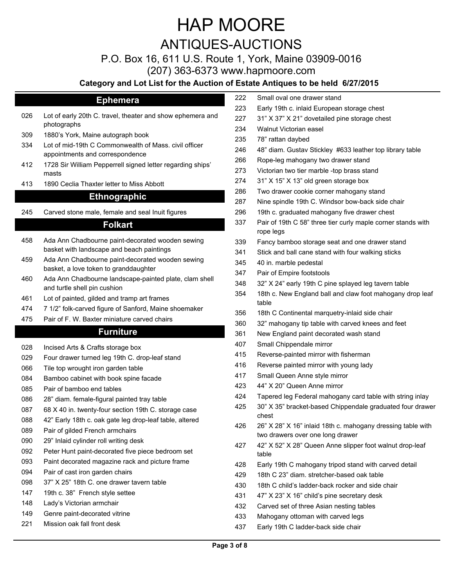## ANTIQUES-AUCTIONS

P.O. Box 16, 611 U.S. Route 1, York, Maine 03909-0016

(207) 363-6373 www.hapmoore.com

### **Category and Lot List for the Auction of Estate Antiques to be held 6/27/2015**

### **Ephemera**

- Lot of early 20th C. travel, theater and show ephemera and photographs
- 1880's York, Maine autograph book
- Lot of mid-19th C Commonwealth of Mass. civil officer appointments and correspondence
- 1728 Sir William Pepperrell signed letter regarding ships' masts
- 1890 Ceclia Thaxter letter to Miss Abbott

### **Ethnographic**

Carved stone male, female and seal Inuit figures

#### **Folkart**

- Ada Ann Chadbourne paint-decorated wooden sewing basket with landscape and beach paintings
- Ada Ann Chadbourne paint-decorated wooden sewing basket, a love token to granddaughter
- Ada Ann Chadbourne landscape-painted plate, clam shell and turtle shell pin cushion
- Lot of painted, gilded and tramp art frames
- 7 1/2" folk-carved figure of Sanford, Maine shoemaker
- Pair of F. W. Baxter miniature carved chairs

### **Furniture**

- Incised Arts & Crafts storage box
- Four drawer turned leg 19th C. drop-leaf stand
- Tile top wrought iron garden table
- Bamboo cabinet with book spine facade
- Pair of bamboo end tables
- 28" diam. female-figural painted tray table
- 68 X 40 in. twenty-four section 19th C. storage case
- 42" Early 18th c. oak gate leg drop-leaf table, altered
- Pair of gilded French armchairs
- 29" Inlaid cylinder roll writing desk
- Peter Hunt paint-decorated five piece bedroom set
- Paint decorated magazine rack and picture frame
- Pair of cast iron garden chairs
- 37" X 25" 18th C. one drawer tavern table
- 19th c. 38" French style settee
- Lady's Victorian armchair
- Genre paint-decorated vitrine
- Mission oak fall front desk
- Small oval one drawer stand
- Early 19th c. inlaid European storage chest
- 31" X 37" X 21" dovetailed pine storage chest
- Walnut Victorian easel
- 78" rattan daybed
- 48" diam. Gustav Stickley #633 leather top library table
- Rope-leg mahogany two drawer stand
- Victorian two tier marble -top brass stand
- 31" X 15" X 13" old green storage box
- Two drawer cookie corner mahogany stand
- Nine spindle 19th C. Windsor bow-back side chair
- 19th c. graduated mahogany five drawer chest
- Pair of 19th C 58" three tier curly maple corner stands with rope legs
- Fancy bamboo storage seat and one drawer stand
- Stick and ball cane stand with four walking sticks
- 40 in. marble pedestal
- Pair of Empire footstools
- 32" X 24" early 19th C pine splayed leg tavern table
- 18th c. New England ball and claw foot mahogany drop leaf table
- 18th C Continental marquetry-inlaid side chair
- 32" mahogany tip table with carved knees and feet
- New England paint decorated wash stand
- Small Chippendale mirror
- Reverse-painted mirror with fisherman
- Reverse painted mirror with young lady
- Small Queen Anne style mirror
- 44" X 20" Queen Anne mirror
- Tapered leg Federal mahogany card table with string inlay
- 30" X 35" bracket-based Chippendale graduated four drawer chest
- 26" X 28" X 16" inlaid 18th c. mahogany dressing table with two drawers over one long drawer
- 42" X 52" X 28" Queen Anne slipper foot walnut drop-leaf table
- Early 19th C mahogany tripod stand with carved detail
- 18th C 23" diam. stretcher-based oak table
- 18th C child's ladder-back rocker and side chair
- 47" X 23" X 16" child's pine secretary desk
- Carved set of three Asian nesting tables
- Mahogany ottoman with carved legs
- Early 19th C ladder-back side chair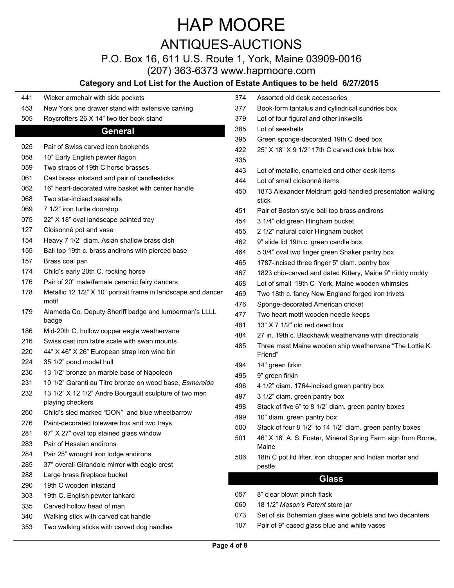# ANTIQUES-AUCTIONS

P.O. Box 16, 611 U.S. Route 1, York, Maine 03909-0016

(207) 363-6373 www.hapmoore.com

### **Category and Lot List for the Auction of**

- Wicker armchair with side pockets
- New York one drawer stand with extensive carving
- Roycrofters 26 X 14" two tier book stand

#### **General**

| 025 | Pair of Swiss carved icon bookends                                         |
|-----|----------------------------------------------------------------------------|
| 058 | 10" Early English pewter flagon                                            |
| 059 | Two straps of 19th C horse brasses                                         |
| 061 | Cast brass inkstand and pair of candlesticks                               |
| 062 | 16" heart-decorated wire basket with center handle                         |
| 068 | Two star-incised seashells                                                 |
| 069 | 7 1/2" iron turtle doorstop                                                |
| 075 | 22" X 18" oval landscape painted tray                                      |
| 127 | Cloisonné pot and vase                                                     |
| 154 | Heavy 7 1/2" diam. Asian shallow brass dish                                |
| 155 | Ball top 19th c. brass andirons with pierced base                          |
| 157 | Brass coal pan                                                             |
| 174 | Child's early 20th C. rocking horse                                        |
| 176 | Pair of 20" male/female ceramic fairy dancers                              |
| 178 | Metallic 12 1/2" X 10" portrait frame in landscape and dancer<br>motif     |
| 179 | Alameda Co. Deputy Sheriff badge and lumberman's LLLL<br>badge             |
| 186 | Mid-20th C. hollow copper eagle weathervane                                |
| 216 | Swiss cast iron table scale with swan mounts                               |
| 220 | 44" X 46" X 26" European strap iron wine bin                               |
| 224 | 35 1/2" pond model hull                                                    |
| 230 | 13 1/2" bronze on marble base of Napoleon                                  |
| 231 | 10 1/2" Garanti au Titre bronze on wood base, Esmeralda                    |
| 232 | 13 1/2" X 12 1/2" Andre Bourgault sculpture of two men<br>playing checkers |
| 260 | Child's sled marked "DON" and blue wheelbarrow                             |
| 276 | Paint-decorated toleware box and two trays                                 |
| 281 | 67" X 27" oval top stained glass window                                    |
| 283 | Pair of Hessian andirons                                                   |
| 284 | Pair 25" wrought iron lodge andirons                                       |
| 285 | 37" overall Girandole mirror with eagle crest                              |
| 288 | Large brass fireplace bucket                                               |
| 290 | 19th C wooden inkstand                                                     |
| 303 | 19th C. English pewter tankard                                             |
| 335 | Carved hollow head of man                                                  |
| 340 | Walking stick with carved cat handle                                       |
| 353 | Two walking sticks with carved dog handles                                 |

|     | Estate Antiques to be held 6/27/2015                                 |
|-----|----------------------------------------------------------------------|
| 374 | Assorted old desk accessories                                        |
| 377 | Book-form tantalus and cylindrical sundries box                      |
| 379 | Lot of four figural and other inkwells                               |
| 385 | Lot of seashells                                                     |
| 395 | Green sponge-decorated 19th C deed box                               |
| 422 | 25" X 18" X 9 1/2" 17th C carved oak bible box                       |
| 435 |                                                                      |
| 443 | Lot of metallic, enameled and other desk items                       |
| 444 | Lot of small cloisonné items                                         |
| 450 | 1873 Alexander Meldrum gold-handled presentation walking<br>stick    |
| 451 | Pair of Boston style ball top brass andirons                         |
| 454 | 3 1/4" old green Hingham bucket                                      |
| 455 | 2 1/2" natural color Hingham bucket                                  |
| 462 | 9" slide lid 19th c. green candle box                                |
| 464 | 5 3/4" oval two finger green Shaker pantry box                       |
| 465 | 1787-incised three finger 5" diam. pantry box                        |
| 467 | 1823 chip-carved and dated Kittery, Maine 9" niddy noddy             |
| 468 | Lot of small 19th C York, Maine wooden whimsies                      |
| 469 | Two 18th c. fancy New England forged iron trivets                    |
| 476 | Sponge-decorated American cricket                                    |
| 477 | Two heart motif wooden needle keeps                                  |
| 481 | 13" X 7 1/2" old red deed box                                        |
| 484 | 27 in. 19th c. Blackhawk weathervane with directionals               |
| 485 | Three mast Maine wooden ship weathervane "The Lottie K.<br>Friend"   |
| 494 | 14" green firkin                                                     |
| 495 | 9" green firkin                                                      |
| 496 | 4 1/2" diam. 1764-incised green pantry box                           |
| 497 | 3 1/2" diam. green pantry box                                        |
| 498 | Stack of five 6" to 8 1/2" diam. green pantry boxes                  |
| 499 | 10" diam. green pantry box                                           |
| 500 | Stack of four 8 1/2" to 14 1/2" diam. green pantry boxes             |
| 501 | 46" X 18" A. S. Foster, Mineral Spring Farm sign from Rome,<br>Maine |
| 506 | 18th C pot lid lifter, iron chopper and Indian mortar and<br>pestle  |
|     | Glass                                                                |
| 057 | 8" clear blown pinch flask                                           |
| 060 | 18 1/2" Mason's Patent store jar                                     |

- Set of six Bohemian glass wine goblets and two decanters
- Pair of 9" cased glass blue and white vases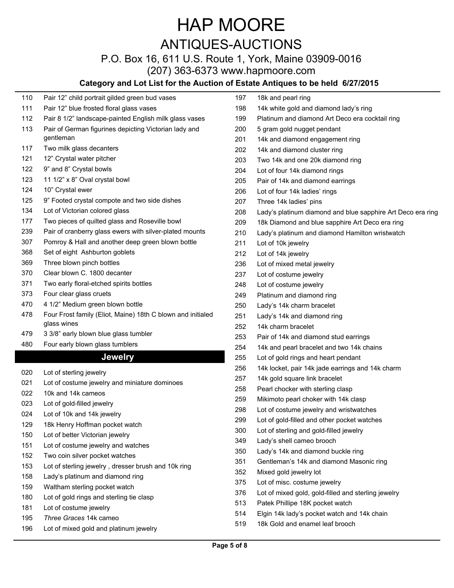## ANTIQUES-AUCTIONS

## P.O. Box 16, 611 U.S. Route 1, York, Maine 03909-0016

(207) 363-6373 www.hapmoore.com

#### **Category and Lot List for the Auction of Estate Antiques to be held 6/27/2015**

- Pair 12" child portrait gilded green bud vases Pair 12" blue frosted floral glass vases
- Pair 8 1/2" landscape-painted English milk glass vases Pair of German figurines depicting Victorian lady and gentleman
- Two milk glass decanters
- 12" Crystal water pitcher
- 9" and 8" Crystal bowls
- 11 1/2" x 8" Oval crystal bowl
- 10" Crystal ewer
- 9" Footed crystal compote and two side dishes
- Lot of Victorian colored glass
- Two pieces of quilted glass and Roseville bowl
- Pair of cranberry glass ewers with silver-plated mounts
- Pomroy & Hall and another deep green blown bottle
- Set of eight Ashburton goblets
- Three blown pinch bottles
- Clear blown C. 1800 decanter
- Two early floral-etched spirits bottles
- Four clear glass cruets
- 4 1/2" Medium green blown bottle
- Four Frost family (Eliot, Maine) 18th C blown and initialed glass wines
- 3 3/8" early blown blue glass tumbler
- Four early blown glass tumblers

#### **Jewelry**

- Lot of sterling jewelry
- Lot of costume jewelry and miniature dominoes
- 10k and 14k cameos
- Lot of gold-filled jewelry
- Lot of 10k and 14k jewelry
- 18k Henry Hoffman pocket watch
- Lot of better Victorian jewelry
- Lot of costume jewelry and watches
- Two coin silver pocket watches
- Lot of sterling jewelry , dresser brush and 10k ring
- Lady's platinum and diamond ring
- Waltham sterling pocket watch
- Lot of gold rings and sterling tie clasp
- Lot of costume jewelry
- *Three Graces* 14k cameo
- Lot of mixed gold and platinum jewelry
- 18k and pearl ring 14k white gold and diamond lady's ring Platinum and diamond Art Deco era cocktail ring 5 gram gold nugget pendant 14k and diamond engagement ring 14k and diamond cluster ring Two 14k and one 20k diamond ring Lot of four 14k diamond rings Pair of 14k and diamond earrings Lot of four 14k ladies' rings Three 14k ladies' pins Lady's platinum diamond and blue sapphire Art Deco era ring 18k Diamond and blue sapphire Art Deco era ring Lady's platinum and diamond Hamilton wristwatch Lot of 10k jewelry Lot of 14k jewelry Lot of mixed metal jewelry Lot of costume jewelry Lot of costume jewelry Platinum and diamond ring Lady's 14k charm bracelet Lady's 14k and diamond ring 14k charm bracelet Pair of 14k and diamond stud earrings 14k and pearl bracelet and two 14k chains Lot of gold rings and heart pendant 14k locket, pair 14k jade earrings and 14k charm 14k gold square link bracelet Pearl chocker with sterling clasp Mikimoto pearl choker with 14k clasp Lot of costume jewelry and wristwatches Lot of gold-filled and other pocket watches Lot of sterling and gold-filled jewelry Lady's shell cameo brooch Lady's 14k and diamond buckle ring Gentleman's 14k and diamond Masonic ring Mixed gold jewelry lot Lot of misc. costume jewelry Lot of mixed gold, gold-filled and sterling jewelry Patek Phillipe 18K pocket watch
- Elgin 14k lady's pocket watch and 14k chain
- 18k Gold and enamel leaf brooch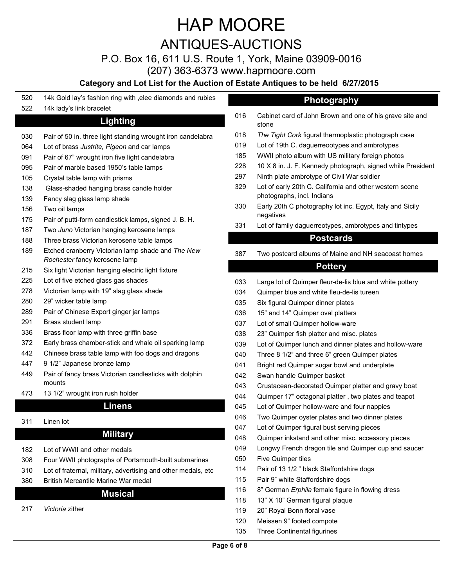ANTIQUES-AUCTIONS

P.O. Box 16, 611 U.S. Route 1, York, Maine 03909-0016

(207) 363-6373 www.hapmoore.com

### **Category and Lot List for the Auction of Estate Antiques to be held 6/27/2015**

- 14k Gold lay's fashion ring with ,elee diamonds and rubies
- 14k lady's link bracelet

### **Lighting**

- 030 Pair of 50 in. three light standing wrought iron candelabra
- Lot of brass *Justrite, Pigeon* and car lamps
- Pair of 67" wrought iron five light candelabra
- Pair of marble based 1950's table lamps
- Crystal table lamp with prisms
- 138 Glass-shaded hanging brass candle holder
- Fancy slag glass lamp shade
- Two oil lamps
- Pair of putti-form candlestick lamps, signed J. B. H.
- Two *Juno* Victorian hanging kerosene lamps
- Three brass Victorian kerosene table lamps
- Etched cranberry Victorian lamp shade and *The New Rochester* fancy kerosene lamp
- Six light Victorian hanging electric light fixture
- Lot of five etched glass gas shades
- Victorian lamp with 19" slag glass shade
- 29" wicker table lamp
- Pair of Chinese Export ginger jar lamps
- Brass student lamp
- Brass floor lamp with three griffin base
- Early brass chamber-stick and whale oil sparking lamp
- Chinese brass table lamp with foo dogs and dragons
- 9 1/2" Japanese bronze lamp
- Pair of fancy brass Victorian candlesticks with dolphin mounts
- 13 1/2" wrought iron rush holder

#### **Linens**

Linen lot

### **Military**

- Lot of WWII and other medals
- Four WWII photographs of Portsmouth-built submarines
- Lot of fraternal, military, advertising and other medals, etc
- British Mercantile Marine War medal

### **Musical**

*Victoria* zither

- **Photography**
- Cabinet card of John Brown and one of his grave site and stone
- *The Tight Cork* figural thermoplastic photograph case
- Lot of 19th C. daguerreootypes and ambrotypes
- WWII photo album with US military foreign photos
- 10 X 8 in. J. F. Kennedy photograph, signed while President
- Ninth plate ambrotype of Civil War soldier
- Lot of early 20th C. California and other western scene photographs, incl. Indians
- Early 20th C photography lot inc. Egypt, Italy and Sicily negatives
- Lot of family daguerreotypes, ambrotypes and tintypes

### **Postcards**

Two postcard albums of Maine and NH seacoast homes

### **Pottery**

- Large lot of Quimper fleur-de-lis blue and white pottery
- Quimper blue and white fleu-de-lis tureen
- Six figural Quimper dinner plates
- 15" and 14" Quimper oval platters
- Lot of small Quimper hollow-ware
- 23" Quimper fish platter and misc. plates
- Lot of Quimper lunch and dinner plates and hollow-ware
- Three 8 1/2" and three 6" green Quimper plates
- 041 Bright red Quimper sugar bowl and underplate
- Swan handle Quimper basket
- Crustacean-decorated Quimper platter and gravy boat
- Quimper 17" octagonal platter , two plates and teapot
- Lot of Quimper hollow-ware and four nappies
- Two Quimper oyster plates and two dinner plates
- Lot of Quimper figural bust serving pieces
- Quimper inkstand and other misc. accessory pieces
- Longwy French dragon tile and Quimper cup and saucer
- Five Quimper tiles
- Pair of 13 1/2 " black Staffordshire dogs
- Pair 9" white Staffordshire dogs
- 8" German *Erphila* female figure in flowing dress
- 13" X 10" German figural plaque
- 20" Royal Bonn floral vase
- Meissen 9" footed compote
- Three Continental figurines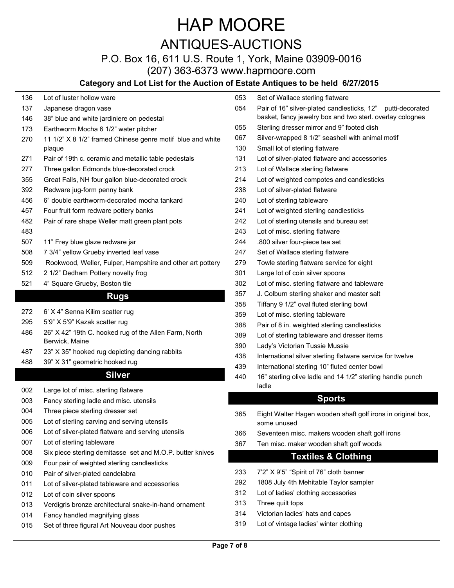## ANTIQUES-AUCTIONS

## P.O. Box 16, 611 U.S. Route 1, York, Maine 03909-0016

(207) 363-6373 www.hapmoore.com

### **Category and Lot List for the Auction of Estate Antiques to be held 6/27/2015**

| 136 | Lot of luster hollow ware                                               |
|-----|-------------------------------------------------------------------------|
| 137 | Japanese dragon vase                                                    |
| 146 | 38" blue and white jardiniere on pedestal                               |
| 173 | Earthworm Mocha 6 1/2" water pitcher                                    |
| 270 | 11 1/2" X 8 1/2" framed Chinese genre motif blue and white<br>plaque    |
| 271 | Pair of 19th c. ceramic and metallic table pedestals                    |
| 277 | Three gallon Edmonds blue-decorated crock                               |
| 355 | Great Falls, NH four gallon blue-decorated crock                        |
| 392 | Redware jug-form penny bank                                             |
| 456 | 6" double earthworm-decorated mocha tankard                             |
| 457 | Four fruit form redware pottery banks                                   |
| 482 | Pair of rare shape Weller matt green plant pots                         |
| 483 |                                                                         |
| 507 | 11" Frey blue glaze redware jar                                         |
| 508 | 7 3/4" yellow Grueby inverted leaf vase                                 |
| 509 | Rookwood, Weller, Fulper, Hampshire and other art pottery               |
| 512 | 2 1/2" Dedham Pottery novelty frog                                      |
| 521 | 4" Square Grueby, Boston tile                                           |
|     | <b>Rugs</b>                                                             |
| 272 | 6' X 4" Senna Kilim scatter rug                                         |
| 295 | 5'9" X 5'9" Kazak scatter rug                                           |
| 486 | 26" X 42" 19th C. hooked rug of the Allen Farm, North<br>Berwick, Maine |
| 487 | 23" X 35" hooked rug depicting dancing rabbits                          |
| 488 | 39" X 31" geometric hooked rug                                          |
|     | Silver                                                                  |
|     |                                                                         |

- Large lot of misc. sterling flatware
- Fancy sterling ladle and misc. utensils
- Three piece sterling dresser set
- Lot of sterling carving and serving utensils
- Lot of silver-plated flatware and serving utensils
- Lot of sterling tableware
- Six piece sterling demitasse set and M.O.P. butter knives
- Four pair of weighted sterling candlesticks
- Pair of silver-plated candelabra
- Lot of silver-plated tableware and accessories
- 012 Lot of coin silver spoons
- Verdigris bronze architectural snake-in-hand ornament
- Fancy handled magnifying glass
- Set of three figural Art Nouveau door pushes

|     | <b>Estate Antiques to be neid 6/2//2015</b>                                                                              |
|-----|--------------------------------------------------------------------------------------------------------------------------|
| 053 | Set of Wallace sterling flatware                                                                                         |
| 054 | Pair of 16" silver-plated candlesticks, 12" putti-decorated<br>basket, fancy jewelry box and two sterl. overlay colognes |
| 055 | Sterling dresser mirror and 9" footed dish                                                                               |
| 067 | Silver-wrapped 8 1/2" seashell with animal motif                                                                         |
| 130 | Small lot of sterling flatware                                                                                           |
| 131 | Lot of silver-plated flatware and accessories                                                                            |
| 213 | Lot of Wallace sterling flatware                                                                                         |
| 214 | Lot of weighted compotes and candlesticks                                                                                |
| 238 | Lot of silver-plated flatware                                                                                            |
| 240 | Lot of sterling tableware                                                                                                |
| 241 | Lot of weighted sterling candlesticks                                                                                    |
| 242 | Lot of sterling utensils and bureau set                                                                                  |
| 243 | Lot of misc. sterling flatware                                                                                           |
| 244 | .800 silver four-piece tea set                                                                                           |
| 247 | Set of Wallace sterling flatware                                                                                         |
| 279 | Towle sterling flatware service for eight                                                                                |
| 301 | Large lot of coin silver spoons                                                                                          |
| 302 | Lot of misc. sterling flatware and tableware                                                                             |
| 357 | J. Colburn sterling shaker and master salt                                                                               |
| 358 | Tiffany 9 1/2" oval fluted sterling bowl                                                                                 |
| 359 | Lot of misc. sterling tableware                                                                                          |
| 388 | Pair of 8 in. weighted sterling candlesticks                                                                             |
| 389 | Lot of sterling tableware and dresser items                                                                              |
| 390 | Lady's Victorian Tussie Mussie                                                                                           |
| 438 | International silver sterling flatware service for twelve                                                                |
| 439 | International sterling 10" fluted center bowl                                                                            |
| 440 | 16" sterling olive ladle and 14 1/2" sterling handle punch<br>ladle                                                      |
|     | <b>Sports</b>                                                                                                            |
|     |                                                                                                                          |
| 365 | Eight Walter Hagen wooden shaft golf irons in original box,<br>some unused                                               |
| 366 | Seventeen misc. makers wooden shaft golf irons                                                                           |
| 367 | Ten misc. maker wooden shaft golf woods                                                                                  |
|     | <b>Textiles &amp; Clothing</b>                                                                                           |
| 233 | 7'2" X 9'5" "Spirit of 76" cloth banner                                                                                  |

- 1808 July 4th Mehitable Taylor sampler
- Lot of ladies' clothing accessories
- Three quilt tops
- Victorian ladies' hats and capes
- Lot of vintage ladies' winter clothing